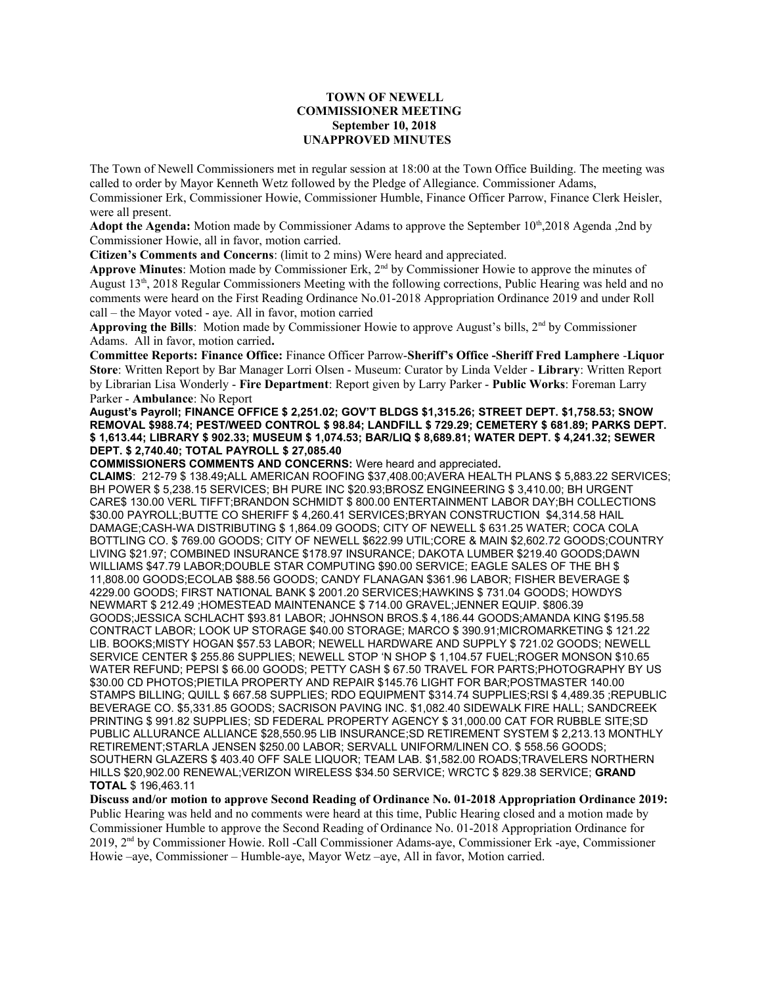## **TOWN OF NEWELL COMMISSIONER MEETING September 10, 2018 UNAPPROVED MINUTES**

The Town of Newell Commissioners met in regular session at 18:00 at the Town Office Building. The meeting was called to order by Mayor Kenneth Wetz followed by the Pledge of Allegiance. Commissioner Adams, Commissioner Erk, Commissioner Howie, Commissioner Humble, Finance Officer Parrow, Finance Clerk Heisler, were all present.

Adopt the Agenda: Motion made by Commissioner Adams to approve the September 10<sup>th</sup>,2018 Agenda ,2nd by Commissioner Howie, all in favor, motion carried.

**Citizen's Comments and Concerns**: (limit to 2 mins) Were heard and appreciated.

**Approve Minutes**: Motion made by Commissioner Erk, 2nd by Commissioner Howie to approve the minutes of August 13th, 2018 Regular Commissioners Meeting with the following corrections, Public Hearing was held and no comments were heard on the First Reading Ordinance No.01-2018 Appropriation Ordinance 2019 and under Roll call – the Mayor voted - aye. All in favor, motion carried

**Approving the Bills**: Motion made by Commissioner Howie to approve August's bills, 2nd by Commissioner Adams.All in favor, motion carried**.**

**Committee Reports: Finance Office:** Finance Officer Parrow-**Sheriff's Office -Sheriff Fred Lamphere** -**Liquor Store**: Written Report by Bar Manager Lorri Olsen - Museum: Curator by Linda Velder - **Library**: Written Report by Librarian Lisa Wonderly - **Fire Department**: Report given by Larry Parker - **Public Works**: Foreman Larry Parker - **Ambulance**: No Report

**August's Payroll; FINANCE OFFICE \$ 2,251.02; GOV'T BLDGS \$1,315.26; STREET DEPT. \$1,758.53; SNOW REMOVAL \$988.74; PEST/WEED CONTROL \$ 98.84; LANDFILL \$ 729.29; CEMETERY \$ 681.89; PARKS DEPT. \$ 1,613.44; LIBRARY \$ 902.33; MUSEUM \$ 1,074.53; BAR/LIQ \$ 8,689.81; WATER DEPT. \$ 4,241.32; SEWER DEPT. \$ 2,740.40; TOTAL PAYROLL \$ 27,085.40**

**COMMISSIONERS COMMENTS AND CONCERNS:** Were heard and appreciated**.**

**CLAIMS**: 212-79 \$ 138.49**;**ALL AMERICAN ROOFING \$37,408.00;AVERA HEALTH PLANS \$ 5,883.22 SERVICES; BH POWER \$ 5,238.15 SERVICES; BH PURE INC \$20.93;BROSZ ENGINEERING \$ 3,410.00; BH URGENT CARE\$ 130.00 VERL TIFFT;BRANDON SCHMIDT \$ 800.00 ENTERTAINMENT LABOR DAY;BH COLLECTIONS \$30.00 PAYROLL;BUTTE CO SHERIFF \$ 4,260.41 SERVICES;BRYAN CONSTRUCTION \$4,314.58 HAIL DAMAGE;CASH-WA DISTRIBUTING \$ 1,864.09 GOODS; CITY OF NEWELL \$ 631.25 WATER; COCA COLA BOTTLING CO. \$ 769.00 GOODS; CITY OF NEWELL \$622.99 UTIL;CORE & MAIN \$2,602.72 GOODS;COUNTRY LIVING \$21.97; COMBINED INSURANCE \$178.97 INSURANCE; DAKOTA LUMBER \$219.40 GOODS;DAWN WILLIAMS \$47.79 LABOR;DOUBLE STAR COMPUTING \$90.00 SERVICE; EAGLE SALES OF THE BH \$ 11,808.00 GOODS;ECOLAB \$88.56 GOODS; CANDY FLANAGAN \$361.96 LABOR; FISHER BEVERAGE \$ 4229.00 GOODS; FIRST NATIONAL BANK \$ 2001.20 SERVICES;HAWKINS \$ 731.04 GOODS; HOWDYS NEWMART \$ 212.49 ;HOMESTEAD MAINTENANCE \$ 714.00 GRAVEL;JENNER EQUIP. \$806.39 GOODS;JESSICA SCHLACHT \$93.81 LABOR; JOHNSON BROS.\$ 4,186.44 GOODS;AMANDA KING \$195.58 CONTRACT LABOR; LOOK UP STORAGE \$40.00 STORAGE; MARCO \$ 390.91;MICROMARKETING \$ 121.22 LIB. BOOKS;MISTY HOGAN \$57.53 LABOR; NEWELL HARDWARE AND SUPPLY \$ 721.02 GOODS; NEWELL SERVICE CENTER \$ 255.86 SUPPLIES; NEWELL STOP 'N SHOP \$ 1,104.57 FUEL;ROGER MONSON \$10.65 WATER REFUND; PEPSI \$ 66.00 GOODS; PETTY CASH \$ 67.50 TRAVEL FOR PARTS;PHOTOGRAPHY BY US \$30.00 CD PHOTOS;PIETILA PROPERTY AND REPAIR \$145.76 LIGHT FOR BAR;POSTMASTER 140.00 STAMPS BILLING; QUILL \$ 667.58 SUPPLIES; RDO EQUIPMENT \$314.74 SUPPLIES;RSI \$ 4,489.35 ;REPUBLIC BEVERAGE CO. \$5,331.85 GOODS; SACRISON PAVING INC. \$1,082.40 SIDEWALK FIRE HALL; SANDCREEK PRINTING \$ 991.82 SUPPLIES; SD FEDERAL PROPERTY AGENCY \$ 31,000.00 CAT FOR RUBBLE SITE;SD PUBLIC ALLURANCE ALLIANCE \$28,550.95 LIB INSURANCE;SD RETIREMENT SYSTEM \$ 2,213.13 MONTHLY RETIREMENT;STARLA JENSEN \$250.00 LABOR; SERVALL UNIFORM/LINEN CO. \$ 558.56 GOODS; SOUTHERN GLAZERS \$ 403.40 OFF SALE LIQUOR; TEAM LAB. \$1,582.00 ROADS;TRAVELERS NORTHERN HILLS \$20,902.00 RENEWAL;VERIZON WIRELESS \$34.50 SERVICE; WRCTC \$ 829.38 SERVICE; **GRAND TOTAL** \$ 196,463.11

**Discuss and/or motion to approve Second Reading of Ordinance No. 01-2018 Appropriation Ordinance 2019:**  Public Hearing was held and no comments were heard at this time, Public Hearing closed and a motion made by Commissioner Humble to approve the Second Reading of Ordinance No. 01-2018 Appropriation Ordinance for 2019, 2nd by Commissioner Howie. Roll -Call Commissioner Adams-aye, Commissioner Erk -aye, Commissioner Howie –aye, Commissioner – Humble-aye, Mayor Wetz –aye, All in favor, Motion carried.